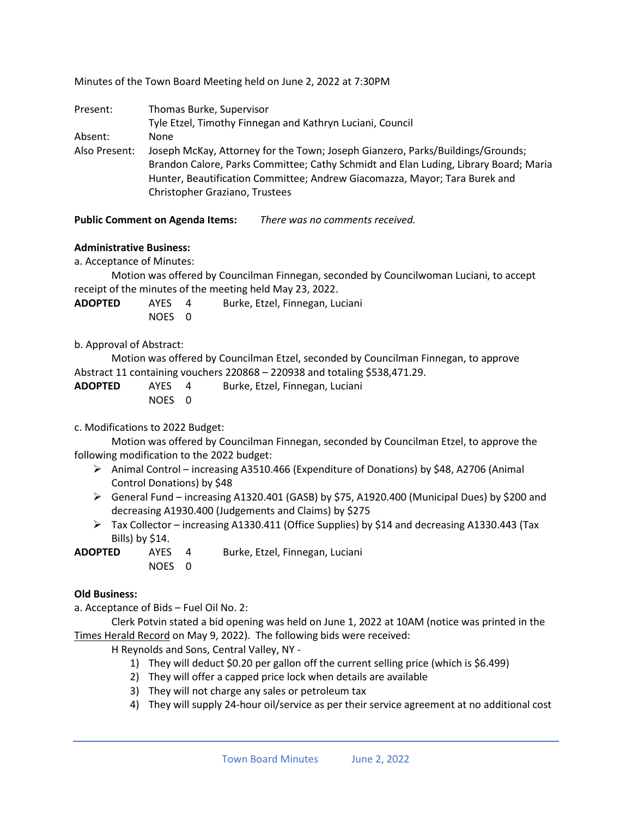Minutes of the Town Board Meeting held on June 2, 2022 at 7:30PM

| Present:      | Thomas Burke, Supervisor<br>Tyle Etzel, Timothy Finnegan and Kathryn Luciani, Council                                                                                                                                                                                                  |
|---------------|----------------------------------------------------------------------------------------------------------------------------------------------------------------------------------------------------------------------------------------------------------------------------------------|
| Absent:       | None                                                                                                                                                                                                                                                                                   |
| Also Present: | Joseph McKay, Attorney for the Town; Joseph Gianzero, Parks/Buildings/Grounds;<br>Brandon Calore, Parks Committee; Cathy Schmidt and Elan Luding, Library Board; Maria<br>Hunter, Beautification Committee; Andrew Giacomazza, Mayor; Tara Burek and<br>Christopher Graziano, Trustees |

# **Public Comment on Agenda Items:** *There was no comments received.*

# **Administrative Business:**

a. Acceptance of Minutes:

Motion was offered by Councilman Finnegan, seconded by Councilwoman Luciani, to accept receipt of the minutes of the meeting held May 23, 2022.

**ADOPTED** AYES 4 Burke, Etzel, Finnegan, Luciani NOES 0

# b. Approval of Abstract:

Motion was offered by Councilman Etzel, seconded by Councilman Finnegan, to approve Abstract 11 containing vouchers 220868 – 220938 and totaling \$538,471.29.

**ADOPTED** AYES 4 Burke, Etzel, Finnegan, Luciani NOES 0

## c. Modifications to 2022 Budget:

Motion was offered by Councilman Finnegan, seconded by Councilman Etzel, to approve the following modification to the 2022 budget:

- ➢ Animal Control increasing A3510.466 (Expenditure of Donations) by \$48, A2706 (Animal Control Donations) by \$48
- ➢ General Fund increasing A1320.401 (GASB) by \$75, A1920.400 (Municipal Dues) by \$200 and decreasing A1930.400 (Judgements and Claims) by \$275
- $\triangleright$  Tax Collector increasing A1330.411 (Office Supplies) by \$14 and decreasing A1330.443 (Tax Bills) by \$14.

**ADOPTED** AYES 4 Burke, Etzel, Finnegan, Luciani NOES 0

## **Old Business:**

a. Acceptance of Bids – Fuel Oil No. 2:

Clerk Potvin stated a bid opening was held on June 1, 2022 at 10AM (notice was printed in the Times Herald Record on May 9, 2022). The following bids were received:

H Reynolds and Sons, Central Valley, NY -

- 1) They will deduct \$0.20 per gallon off the current selling price (which is \$6.499)
- 2) They will offer a capped price lock when details are available
- 3) They will not charge any sales or petroleum tax
- 4) They will supply 24-hour oil/service as per their service agreement at no additional cost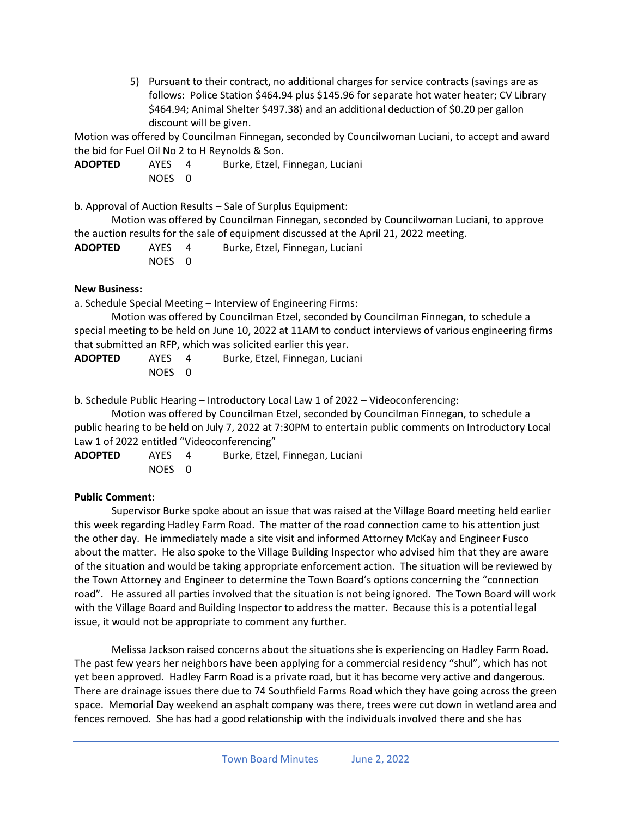5) Pursuant to their contract, no additional charges for service contracts (savings are as follows: Police Station \$464.94 plus \$145.96 for separate hot water heater; CV Library \$464.94; Animal Shelter \$497.38) and an additional deduction of \$0.20 per gallon discount will be given.

Motion was offered by Councilman Finnegan, seconded by Councilwoman Luciani, to accept and award the bid for Fuel Oil No 2 to H Reynolds & Son.

**ADOPTED** AYES 4 Burke, Etzel, Finnegan, Luciani NOES 0

b. Approval of Auction Results – Sale of Surplus Equipment:

Motion was offered by Councilman Finnegan, seconded by Councilwoman Luciani, to approve the auction results for the sale of equipment discussed at the April 21, 2022 meeting.

| <b>ADOPTED</b> | AYES   | Burke, Etzel, Finnegan, Luciani |
|----------------|--------|---------------------------------|
|                | NOES 0 |                                 |

## **New Business:**

a. Schedule Special Meeting – Interview of Engineering Firms:

Motion was offered by Councilman Etzel, seconded by Councilman Finnegan, to schedule a special meeting to be held on June 10, 2022 at 11AM to conduct interviews of various engineering firms that submitted an RFP, which was solicited earlier this year.

| <b>ADOPTED</b> | AYES   | Burke, Etzel, Finnegan, Luciani |
|----------------|--------|---------------------------------|
|                | NOES 0 |                                 |

b. Schedule Public Hearing – Introductory Local Law 1 of 2022 – Videoconferencing:

Motion was offered by Councilman Etzel, seconded by Councilman Finnegan, to schedule a public hearing to be held on July 7, 2022 at 7:30PM to entertain public comments on Introductory Local Law 1 of 2022 entitled "Videoconferencing"

**ADOPTED** AYES 4 Burke, Etzel, Finnegan, Luciani NOES 0

## **Public Comment:**

Supervisor Burke spoke about an issue that was raised at the Village Board meeting held earlier this week regarding Hadley Farm Road. The matter of the road connection came to his attention just the other day. He immediately made a site visit and informed Attorney McKay and Engineer Fusco about the matter. He also spoke to the Village Building Inspector who advised him that they are aware of the situation and would be taking appropriate enforcement action. The situation will be reviewed by the Town Attorney and Engineer to determine the Town Board's options concerning the "connection road". He assured all parties involved that the situation is not being ignored. The Town Board will work with the Village Board and Building Inspector to address the matter. Because this is a potential legal issue, it would not be appropriate to comment any further.

Melissa Jackson raised concerns about the situations she is experiencing on Hadley Farm Road. The past few years her neighbors have been applying for a commercial residency "shul", which has not yet been approved. Hadley Farm Road is a private road, but it has become very active and dangerous. There are drainage issues there due to 74 Southfield Farms Road which they have going across the green space. Memorial Day weekend an asphalt company was there, trees were cut down in wetland area and fences removed. She has had a good relationship with the individuals involved there and she has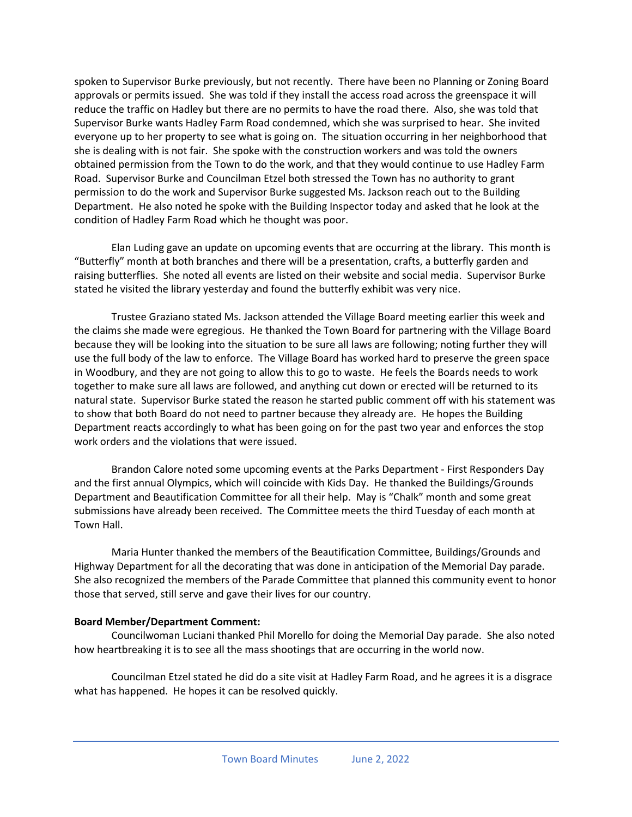spoken to Supervisor Burke previously, but not recently. There have been no Planning or Zoning Board approvals or permits issued. She was told if they install the access road across the greenspace it will reduce the traffic on Hadley but there are no permits to have the road there. Also, she was told that Supervisor Burke wants Hadley Farm Road condemned, which she was surprised to hear. She invited everyone up to her property to see what is going on. The situation occurring in her neighborhood that she is dealing with is not fair. She spoke with the construction workers and was told the owners obtained permission from the Town to do the work, and that they would continue to use Hadley Farm Road. Supervisor Burke and Councilman Etzel both stressed the Town has no authority to grant permission to do the work and Supervisor Burke suggested Ms. Jackson reach out to the Building Department. He also noted he spoke with the Building Inspector today and asked that he look at the condition of Hadley Farm Road which he thought was poor.

Elan Luding gave an update on upcoming events that are occurring at the library. This month is "Butterfly" month at both branches and there will be a presentation, crafts, a butterfly garden and raising butterflies. She noted all events are listed on their website and social media. Supervisor Burke stated he visited the library yesterday and found the butterfly exhibit was very nice.

Trustee Graziano stated Ms. Jackson attended the Village Board meeting earlier this week and the claims she made were egregious. He thanked the Town Board for partnering with the Village Board because they will be looking into the situation to be sure all laws are following; noting further they will use the full body of the law to enforce. The Village Board has worked hard to preserve the green space in Woodbury, and they are not going to allow this to go to waste. He feels the Boards needs to work together to make sure all laws are followed, and anything cut down or erected will be returned to its natural state. Supervisor Burke stated the reason he started public comment off with his statement was to show that both Board do not need to partner because they already are. He hopes the Building Department reacts accordingly to what has been going on for the past two year and enforces the stop work orders and the violations that were issued.

Brandon Calore noted some upcoming events at the Parks Department - First Responders Day and the first annual Olympics, which will coincide with Kids Day. He thanked the Buildings/Grounds Department and Beautification Committee for all their help. May is "Chalk" month and some great submissions have already been received. The Committee meets the third Tuesday of each month at Town Hall.

Maria Hunter thanked the members of the Beautification Committee, Buildings/Grounds and Highway Department for all the decorating that was done in anticipation of the Memorial Day parade. She also recognized the members of the Parade Committee that planned this community event to honor those that served, still serve and gave their lives for our country.

### **Board Member/Department Comment:**

Councilwoman Luciani thanked Phil Morello for doing the Memorial Day parade. She also noted how heartbreaking it is to see all the mass shootings that are occurring in the world now.

Councilman Etzel stated he did do a site visit at Hadley Farm Road, and he agrees it is a disgrace what has happened. He hopes it can be resolved quickly.